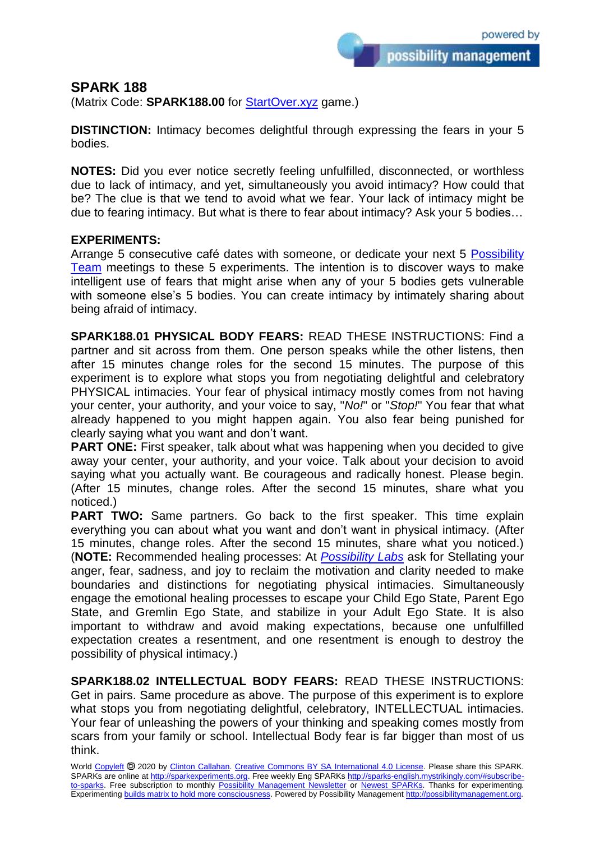possibility management

## **SPARK 188**

(Matrix Code: **SPARK188.00** for **StartOver.xyz** game.)

**DISTINCTION:** Intimacy becomes delightful through expressing the fears in your 5 bodies.

**NOTES:** Did you ever notice secretly feeling unfulfilled, disconnected, or worthless due to lack of intimacy, and yet, simultaneously you avoid intimacy? How could that be? The clue is that we tend to avoid what we fear. Your lack of intimacy might be due to fearing intimacy. But what is there to fear about intimacy? Ask your 5 bodies…

## **EXPERIMENTS:**

Arrange 5 consecutive café dates with someone, or dedicate your next 5 [Possibility](http://possibilityteam.mystrikingly.com/)  [Team](http://possibilityteam.mystrikingly.com/) meetings to these 5 experiments. The intention is to discover ways to make intelligent use of fears that might arise when any of your 5 bodies gets vulnerable with someone else's 5 bodies. You can create intimacy by intimately sharing about being afraid of intimacy.

**SPARK188.01 PHYSICAL BODY FEARS:** READ THESE INSTRUCTIONS: Find a partner and sit across from them. One person speaks while the other listens, then after 15 minutes change roles for the second 15 minutes. The purpose of this experiment is to explore what stops you from negotiating delightful and celebratory PHYSICAL intimacies. Your fear of physical intimacy mostly comes from not having your center, your authority, and your voice to say, "*No!*" or "*Stop!*" You fear that what already happened to you might happen again. You also fear being punished for clearly saying what you want and don't want.

**PART ONE:** First speaker, talk about what was happening when you decided to give away your center, your authority, and your voice. Talk about your decision to avoid saying what you actually want. Be courageous and radically honest. Please begin. (After 15 minutes, change roles. After the second 15 minutes, share what you noticed.)

**PART TWO:** Same partners. Go back to the first speaker. This time explain everything you can about what you want and don't want in physical intimacy. (After 15 minutes, change roles. After the second 15 minutes, share what you noticed.) (**NOTE:** Recommended healing processes: At *[Possibility Labs](http://possibilitymanagement.org/doingit/plabs/)* ask for Stellating your anger, fear, sadness, and joy to reclaim the motivation and clarity needed to make boundaries and distinctions for negotiating physical intimacies. Simultaneously engage the emotional healing processes to escape your Child Ego State, Parent Ego State, and Gremlin Ego State, and stabilize in your Adult Ego State. It is also important to withdraw and avoid making expectations, because one unfulfilled expectation creates a resentment, and one resentment is enough to destroy the possibility of physical intimacy.)

**SPARK188.02 INTELLECTUAL BODY FEARS:** READ THESE INSTRUCTIONS: Get in pairs. Same procedure as above. The purpose of this experiment is to explore what stops you from negotiating delightful, celebratory, INTELLECTUAL intimacies. Your fear of unleashing the powers of your thinking and speaking comes mostly from scars from your family or school. Intellectual Body fear is far bigger than most of us think.

World [Copyleft](https://en.wikipedia.org/wiki/Copyleft) <sup>5</sup> 2020 by [Clinton Callahan.](http://clintoncallahan.mystrikingly.com/) [Creative Commons BY SA International 4.0 License.](https://creativecommons.org/licenses/by-sa/4.0/) Please share this SPARK. SPARKs are online at [http://sparkexperiments.org.](http://sparks-english.mystrikingly.com/) Free weekly Eng SPARKs [http://sparks-english.mystrikingly.com/#subscribe](http://sparks-english.mystrikingly.com/#subscribe-to-sparks)[to-sparks.](http://sparks-english.mystrikingly.com/#subscribe-to-sparks) Free subscription to monthly [Possibility Management Newsletter](https://possibilitymanagement.org/news/) or [Newest SPARKs.](https://www.clintoncallahan.org/newsletter-1) Thanks for experimenting. Experimentin[g builds matrix to hold more consciousness.](http://spaceport.mystrikingly.com/) Powered by Possibility Managemen[t http://possibilitymanagement.org.](http://possibilitymanagement.org/)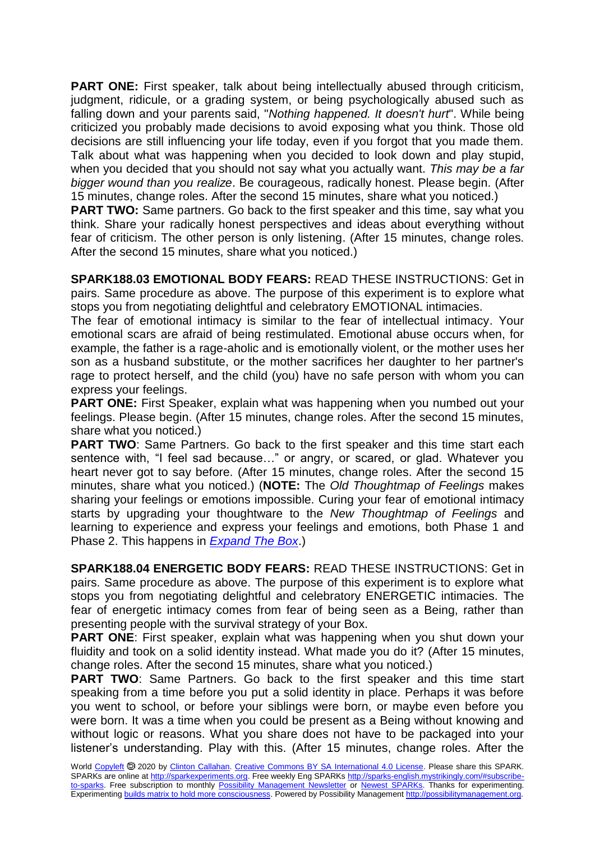**PART ONE:** First speaker, talk about being intellectually abused through criticism, judgment, ridicule, or a grading system, or being psychologically abused such as falling down and your parents said, "*Nothing happened. It doesn't hurt*". While being criticized you probably made decisions to avoid exposing what you think. Those old decisions are still influencing your life today, even if you forgot that you made them. Talk about what was happening when you decided to look down and play stupid, when you decided that you should not say what you actually want. *This may be a far bigger wound than you realize*. Be courageous, radically honest. Please begin. (After 15 minutes, change roles. After the second 15 minutes, share what you noticed.)

**PART TWO:** Same partners. Go back to the first speaker and this time, say what you think. Share your radically honest perspectives and ideas about everything without fear of criticism. The other person is only listening. (After 15 minutes, change roles. After the second 15 minutes, share what you noticed.)

**SPARK188.03 EMOTIONAL BODY FEARS:** READ THESE INSTRUCTIONS: Get in pairs. Same procedure as above. The purpose of this experiment is to explore what stops you from negotiating delightful and celebratory EMOTIONAL intimacies.

The fear of emotional intimacy is similar to the fear of intellectual intimacy. Your emotional scars are afraid of being restimulated. Emotional abuse occurs when, for example, the father is a rage-aholic and is emotionally violent, or the mother uses her son as a husband substitute, or the mother sacrifices her daughter to her partner's rage to protect herself, and the child (you) have no safe person with whom you can express your feelings.

**PART ONE:** First Speaker, explain what was happening when you numbed out your feelings. Please begin. (After 15 minutes, change roles. After the second 15 minutes, share what you noticed.)

**PART TWO:** Same Partners. Go back to the first speaker and this time start each sentence with, "I feel sad because…" or angry, or scared, or glad. Whatever you heart never got to say before. (After 15 minutes, change roles. After the second 15 minutes, share what you noticed.) (**NOTE:** The *Old Thoughtmap of Feelings* makes sharing your feelings or emotions impossible. Curing your fear of emotional intimacy starts by upgrading your thoughtware to the *New Thoughtmap of Feelings* and learning to experience and express your feelings and emotions, both Phase 1 and Phase 2. This happens in *[Expand The Box](http://possibilitymanagement.org/doingit/etb/)*.)

**SPARK188.04 ENERGETIC BODY FEARS:** READ THESE INSTRUCTIONS: Get in pairs. Same procedure as above. The purpose of this experiment is to explore what stops you from negotiating delightful and celebratory ENERGETIC intimacies. The fear of energetic intimacy comes from fear of being seen as a Being, rather than presenting people with the survival strategy of your Box.

**PART ONE:** First speaker, explain what was happening when you shut down your fluidity and took on a solid identity instead. What made you do it? (After 15 minutes, change roles. After the second 15 minutes, share what you noticed.)

**PART TWO**: Same Partners. Go back to the first speaker and this time start speaking from a time before you put a solid identity in place. Perhaps it was before you went to school, or before your siblings were born, or maybe even before you were born. It was a time when you could be present as a Being without knowing and without logic or reasons. What you share does not have to be packaged into your listener's understanding. Play with this. (After 15 minutes, change roles. After the